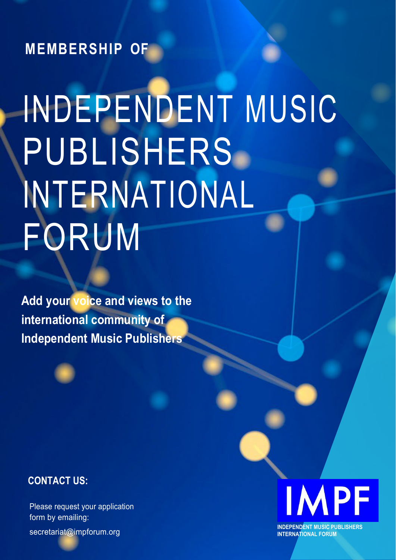**MEMBERSHIP OF**

# INDEPENDENT MUSIC PUBLISHERS INTERNATIONAL FORUM

**Add your voice and views to the international community of Independent Music Publishers**



## **CONTACT US:**

Please request your application form by emailing: [secretariat@impforum.org](mailto:secretariat@impforum.org) **INDEPENDENT MUSIC PUBLISHERS**<br>
INTERNATIONAL FORUM

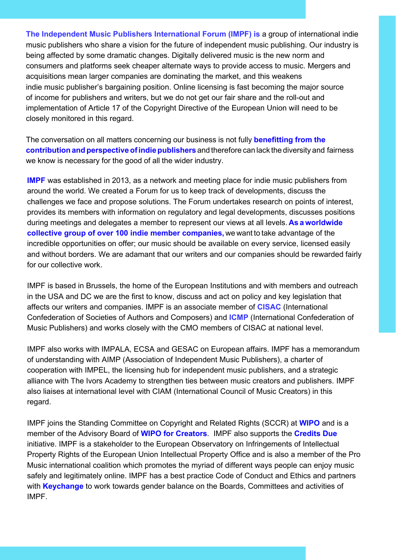**The Independent Music Publishers International Forum (IMPF) is** a group of international indie music publishers who share a vision for the future of independent music publishing. Our industry is being affected by some dramatic changes. Digitally delivered music is the new norm and consumers and platforms seek cheaper alternate ways to provide access to music. Mergers and acquisitions mean larger companies are dominating the market, and this weakens indie music publisher's bargaining position. Online licensing is fast becoming the major source of income for publishers and writers, but we do not get our fair share and the roll-out and implementation of Article 17 of the Copyright Directive of the European Union will need to be closely monitored in this regard.

The conversation on all matters concerning our business is not fully **benefitting from the contributionandperspective ofindiepublishers** and therefore can lack the diversity and fairness we know is necessary for the good of all the wider industry.

**IMPF** was established in 2013, as a network and meeting place for indie music publishers from around the world. We created a Forum for us to keep track of developments, discuss the challenges we face and propose solutions. The Forum undertakes research on points of interest, provides its members with information on regulatory and legal developments, discusses positions during meetings and delegates a member to represent our views at all levels. **As a worldwide collective group of over 100 indie member companies,** we want to take advantage of the incredible opportunities on offer; our music should be available on every service, licensed easily and without borders. We are adamant that our writers and our companies should be rewarded fairly for our collective work.

IMPF is based in Brussels, the home of the European Institutions and with members and outreach in the USA and DC we are the first to know, discuss and act on policy and key legislation that affects our writers and companies. IMPF is an associate member of **[CISAC](https://www.cisac.org/)** (International Confederation of Societies of Authors and Composers) and **[ICMP](https://www.icmp-ciem.org/)** (International Confederation of Music Publishers) and works closely with the CMO members of CISAC at national level.

IMPF also works with [IMPALA,](https://impalamusic.org/) [ECSA](https://composeralliance.org/) and [GESAC](https://authorsocieties.eu/) on European affairs. IMPF has a memorandum of understanding with [AIMP](https://www.aimp.org/) (Association of Independent Music Publishers), a charter of cooperation with [IMPEL,](http://www.impel-music.com/) the licensing hub for independent music publishers, and a strategic alliance with [The Ivors Academy](https://ivorsacademy.com/) to strengthen ties between music creators and publishers. IMPF also liaises at international level with [CIAM](http://www.ciamcreators.org/) (International Council of Music Creators) in this regard.

IMPF joins the Standing Committee on Copyright and Related Rights (SCCR) at **WIPO** and is a member of the Advisory Board of **WIPO for Creators**. IMPF also supports the **Credits Due** initiative. IMPF is a stakeholder to the European Observatory on Infringements of Intellectual Property Rights of the [European Union Intellectual Property Office](https://euipo.europa.eu/ohimportal/en) and is also a member of the Pro Music international coalition which promotes the myriad of different ways people can enjoy music safely and legitimately online. IMPF has a best practice Code of Conduct and Ethics and partners with **Keychange** to work towards gender balance on the Boards, Committees and activities of IMPF.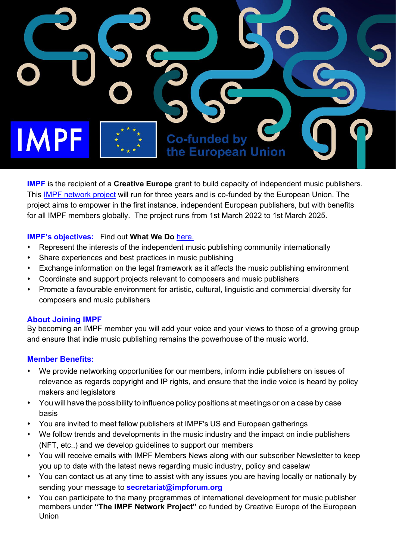

**IMPF** is the recipient of a **Creative Europe** grant to build capacity of independent music publishers. This **IMPF network project** will run for three years and is co-funded by the European Union. The project aims to empower in the first instance, independent European publishers, but with benefits for all IMPF members globally. The project runs from 1st March 2022 to 1st March 2025.

### **IMPF's objectives:** Find out **What We Do** [here.](http://www.impforum.org/)

- Represent the interests of the independent music publishing community internationally
- Share experiences and best practices in music publishing
- Exchange information on the legal framework as it affects the music publishing environment
- Coordinate and support projects relevant to composers and music publishers
- Promote a favourable environment for artistic, cultural, linguistic and commercial diversity for composers and music publishers

#### **About Joining IMPF**

By becoming an IMPF member you will add your voice and your views to those of a growing group and ensure that indie music publishing remains the powerhouse of the music world.

### **Member Benefits:**

- We provide networking opportunities for our members, inform indie publishers on issues of relevance as regards copyright and IP rights, and ensure that the indie voice is heard by policy makers and legislators
- You will have the possibility to influence policy positions at meetings or on a case by case basis
- You are invited to meet fellow publishers at IMPF's US and European gatherings
- We follow trends and developments in the music industry and the impact on indie publishers (NFT, etc..) and we develop guidelines to support our members
- You will receive emails with IMPF Members News along with our subscriber Newsletter to keep you up to date with the latest news regarding music industry, policy and caselaw
- You can contact us at any time to assist with any issues you are having locally or nationally by sending your message to **[secretariat@impforum.org](mailto:secretariat@impforum.org)**
- You can participate to the many programmes of international development for music publisher members under **"The IMPF Network Project"** co funded by Creative Europe of the European Union